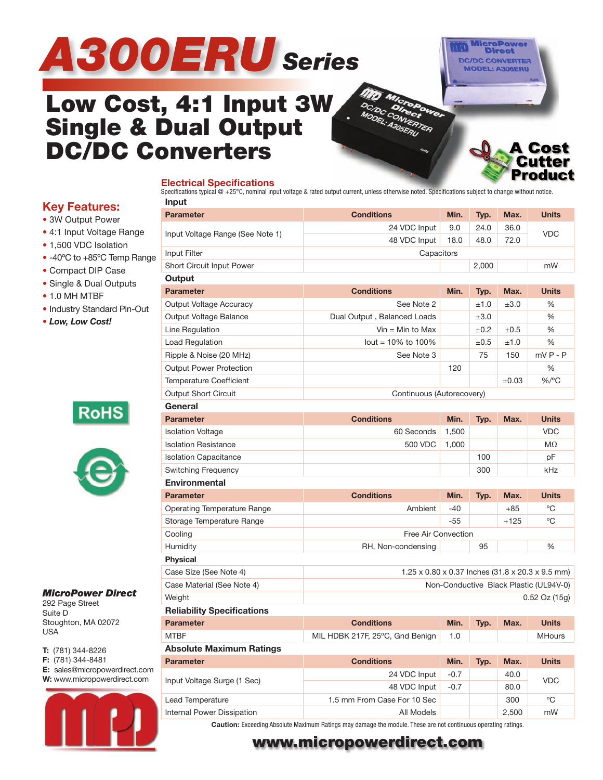# *A300ERU Series*



**A Cost** Cutter

# **Low Cost, 4:1 Input 3W Single & Dual Output DC/DC Converters**

#### **Electrical Specifications**

Specifications typical  $@ + 25^{\circ}$ C, nominal input voltage & rated output current, unless otherwise noted. Specifications subject to change without notice. **Input**

|    | <b>Parameter</b>                                                           | <b>Conditions</b>                                                                                                                                                                                                                | Min.                                                                                                                           | Typ.  | Max.       | <b>Units</b>  |  |  |  |  |
|----|----------------------------------------------------------------------------|----------------------------------------------------------------------------------------------------------------------------------------------------------------------------------------------------------------------------------|--------------------------------------------------------------------------------------------------------------------------------|-------|------------|---------------|--|--|--|--|
|    |                                                                            | 24 VDC Input                                                                                                                                                                                                                     | 9.0                                                                                                                            | 24.0  | 36.0       | <b>VDC</b>    |  |  |  |  |
|    | Input Voltage Range (See Note 1)                                           | 72.0<br>48 VDC Input<br>18.0<br>48.0                                                                                                                                                                                             |                                                                                                                                |       |            |               |  |  |  |  |
|    | Input Filter<br>Capacitors                                                 |                                                                                                                                                                                                                                  |                                                                                                                                |       |            |               |  |  |  |  |
| ge | Short Circuit Input Power                                                  |                                                                                                                                                                                                                                  |                                                                                                                                | 2,000 |            | mW            |  |  |  |  |
|    | Output                                                                     |                                                                                                                                                                                                                                  |                                                                                                                                |       |            |               |  |  |  |  |
|    | <b>Parameter</b>                                                           | <b>Conditions</b>                                                                                                                                                                                                                | Min.                                                                                                                           | Typ.  | Max.       | <b>Units</b>  |  |  |  |  |
|    | Output Voltage Accuracy                                                    | See Note 2                                                                                                                                                                                                                       |                                                                                                                                | ±1.0  | ±3.0       | $\frac{0}{6}$ |  |  |  |  |
|    | Output Voltage Balance                                                     | Dual Output, Balanced Loads                                                                                                                                                                                                      |                                                                                                                                | ±3.0  |            | %             |  |  |  |  |
|    | Line Regulation                                                            | $V$ in = Min to Max                                                                                                                                                                                                              |                                                                                                                                | ±0.2  | $\pm 0.5$  | %             |  |  |  |  |
|    | Load Regulation                                                            | $lout = 10\%$ to 100%                                                                                                                                                                                                            |                                                                                                                                | ±0.5  | ±1.0       | $\frac{0}{0}$ |  |  |  |  |
|    | Ripple & Noise (20 MHz)                                                    | See Note 3                                                                                                                                                                                                                       |                                                                                                                                | 75    | 150        | $mVP - P$     |  |  |  |  |
|    | <b>Output Power Protection</b>                                             |                                                                                                                                                                                                                                  | 120                                                                                                                            |       |            | %             |  |  |  |  |
|    | <b>Temperature Coefficient</b>                                             |                                                                                                                                                                                                                                  |                                                                                                                                |       | $\pm 0.03$ | $\%$ /°C      |  |  |  |  |
|    | <b>Output Short Circuit</b>                                                |                                                                                                                                                                                                                                  |                                                                                                                                |       |            |               |  |  |  |  |
|    | General                                                                    |                                                                                                                                                                                                                                  |                                                                                                                                |       |            |               |  |  |  |  |
|    | <b>Parameter</b>                                                           | <b>Conditions</b>                                                                                                                                                                                                                | Min.                                                                                                                           | Typ.  | Max.       | <b>Units</b>  |  |  |  |  |
|    | <b>Isolation Voltage</b>                                                   | 60 Seconds                                                                                                                                                                                                                       | 1,500                                                                                                                          |       |            | <b>VDC</b>    |  |  |  |  |
|    | <b>Isolation Resistance</b>                                                | 500 VDC                                                                                                                                                                                                                          | 1,000                                                                                                                          |       |            | $M\Omega$     |  |  |  |  |
|    | <b>Isolation Capacitance</b>                                               |                                                                                                                                                                                                                                  |                                                                                                                                | 100   |            | рF            |  |  |  |  |
|    | <b>Switching Frequency</b>                                                 |                                                                                                                                                                                                                                  |                                                                                                                                | 300   |            | kHz           |  |  |  |  |
|    | <b>Environmental</b>                                                       |                                                                                                                                                                                                                                  |                                                                                                                                |       |            |               |  |  |  |  |
|    | <b>Parameter</b>                                                           | <b>Conditions</b>                                                                                                                                                                                                                | Min.                                                                                                                           | Typ.  | Max.       | <b>Units</b>  |  |  |  |  |
|    | Operating Temperature Range                                                | Ambient                                                                                                                                                                                                                          | $-40$                                                                                                                          |       | $+85$      | °C            |  |  |  |  |
|    | Storage Temperature Range                                                  |                                                                                                                                                                                                                                  | $-55$                                                                                                                          |       | $+125$     | °C            |  |  |  |  |
|    | Cooling                                                                    | Free Air Convection                                                                                                                                                                                                              |                                                                                                                                |       |            |               |  |  |  |  |
|    | Humidity                                                                   | RH, Non-condensing                                                                                                                                                                                                               |                                                                                                                                | 95    |            | $\frac{0}{6}$ |  |  |  |  |
|    | <b>Physical</b>                                                            |                                                                                                                                                                                                                                  |                                                                                                                                |       |            |               |  |  |  |  |
|    | Case Size (See Note 4)<br>1.25 x 0.80 x 0.37 Inches (31.8 x 20.3 x 9.5 mm) |                                                                                                                                                                                                                                  |                                                                                                                                |       |            |               |  |  |  |  |
|    | Case Material (See Note 4)                                                 | Continuous (Autorecovery)<br><b>Conditions</b><br>Min.<br>Typ.<br>1.0<br>MIL HDBK 217F, 25°C, Gnd Benign<br><b>Conditions</b><br>Min.<br>Typ.<br>24 VDC Input<br>$-0.7$<br>48 VDC Input<br>$-0.7$<br>1.5 mm From Case For 10 Sec |                                                                                                                                |       |            |               |  |  |  |  |
|    | Weight                                                                     |                                                                                                                                                                                                                                  |                                                                                                                                |       |            |               |  |  |  |  |
|    | <b>Reliability Specifications</b>                                          |                                                                                                                                                                                                                                  |                                                                                                                                |       |            |               |  |  |  |  |
|    | <b>Parameter</b>                                                           |                                                                                                                                                                                                                                  |                                                                                                                                |       | Max.       | <b>Units</b>  |  |  |  |  |
|    | <b>MTBF</b>                                                                |                                                                                                                                                                                                                                  |                                                                                                                                |       |            | <b>MHours</b> |  |  |  |  |
|    | <b>Absolute Maximum Ratings</b>                                            |                                                                                                                                                                                                                                  | Non-Conductive Black Plastic (UL94V-0)<br>$0.52$ Oz $(15g)$<br>Max.<br><b>Units</b><br>40.0<br><b>VDC</b><br>80.0<br>°C<br>300 |       |            |               |  |  |  |  |
|    | <b>Parameter</b>                                                           |                                                                                                                                                                                                                                  |                                                                                                                                |       |            |               |  |  |  |  |
| m  | Input Voltage Surge (1 Sec)                                                |                                                                                                                                                                                                                                  |                                                                                                                                |       |            |               |  |  |  |  |
|    |                                                                            |                                                                                                                                                                                                                                  |                                                                                                                                |       |            |               |  |  |  |  |
|    | <b>Lead Temperature</b>                                                    |                                                                                                                                                                                                                                  |                                                                                                                                |       |            |               |  |  |  |  |

#### **Key Features:**

• 3W Output Power

- 4:1 Input Voltage Range
- 1,500 VDC Isolation
- -40°C to +85°C Temp Range
- Compact DIP Case
- Single & Dual Outputs
- 1.0 MH MTBF
- Industry Standard Pin-Out
- *Low, Low Cost!*

|--|



#### *MicroPower Direct*

292 Page Street Suite D Stoughton, MA 02072 USA

**T:** (781) 344-8226 **F:** (781) 344-8481 **E:** sales@micropowerdirect.com **W:** www.micropowerdirect.com



Internal Power Dissipation and All Models 2,500 mW **Caution:** Exceeding Absolute Maximum Ratings may damage the module. These are not continuous operating ratings.

### **www.micropowerdirect.com**